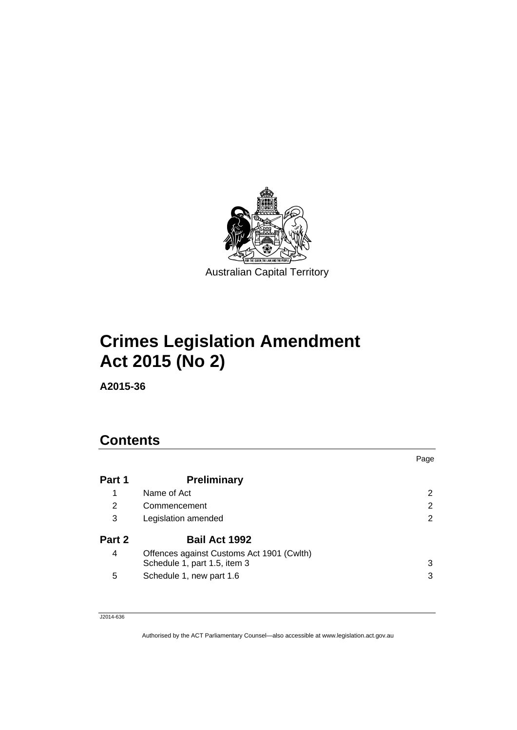

# **Crimes Legislation Amendment Act 2015 (No 2)**

**A2015-36** 

## **Contents**

|        |                                                                           | Page |
|--------|---------------------------------------------------------------------------|------|
| Part 1 | <b>Preliminary</b>                                                        |      |
| 1      | Name of Act                                                               | 2    |
| 2      | Commencement                                                              | 2    |
| 3      | Legislation amended                                                       | 2    |
| Part 2 | <b>Bail Act 1992</b>                                                      |      |
| 4      | Offences against Customs Act 1901 (Cwlth)<br>Schedule 1, part 1.5, item 3 | 3    |
| 5      | Schedule 1, new part 1.6                                                  | 3    |

J2014-636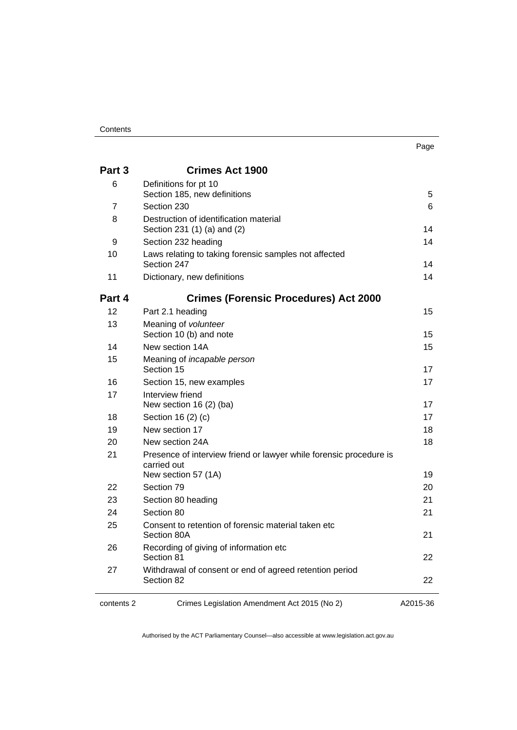| Part 3     | <b>Crimes Act 1900</b>                                                            |          |
|------------|-----------------------------------------------------------------------------------|----------|
| 6          | Definitions for pt 10<br>Section 185, new definitions                             | 5        |
| 7          | Section 230                                                                       | 6        |
| 8          | Destruction of identification material<br>Section 231 (1) (a) and (2)             | 14       |
| 9          | Section 232 heading                                                               | 14       |
| 10         | Laws relating to taking forensic samples not affected<br>Section 247              | 14       |
| 11         | Dictionary, new definitions                                                       | 14       |
| Part 4     | <b>Crimes (Forensic Procedures) Act 2000</b>                                      |          |
| 12         | Part 2.1 heading                                                                  | 15       |
| 13         | Meaning of volunteer<br>Section 10 (b) and note                                   | 15       |
| 14         | New section 14A                                                                   | 15       |
| 15         | Meaning of <i>incapable person</i><br>Section 15                                  | 17       |
| 16         | Section 15, new examples                                                          | 17       |
| 17         | Interview friend<br>New section 16 (2) (ba)                                       | 17       |
| 18         | Section 16 (2) (c)                                                                | 17       |
| 19         | New section 17                                                                    | 18       |
| 20         | New section 24A                                                                   | 18       |
| 21         | Presence of interview friend or lawyer while forensic procedure is<br>carried out |          |
|            | New section 57 (1A)                                                               | 19       |
| 22         | Section 79                                                                        | 20       |
| 23         | Section 80 heading                                                                | 21       |
| 24         | Section 80                                                                        | 21       |
| 25         | Consent to retention of forensic material taken etc<br>Section 80A                | 21       |
| 26         | Recording of giving of information etc<br>Section 81                              | 22       |
| 27         | Withdrawal of consent or end of agreed retention period<br>Section 82             | 22       |
| contents 2 | Crimes Legislation Amendment Act 2015 (No 2)                                      | A2015-36 |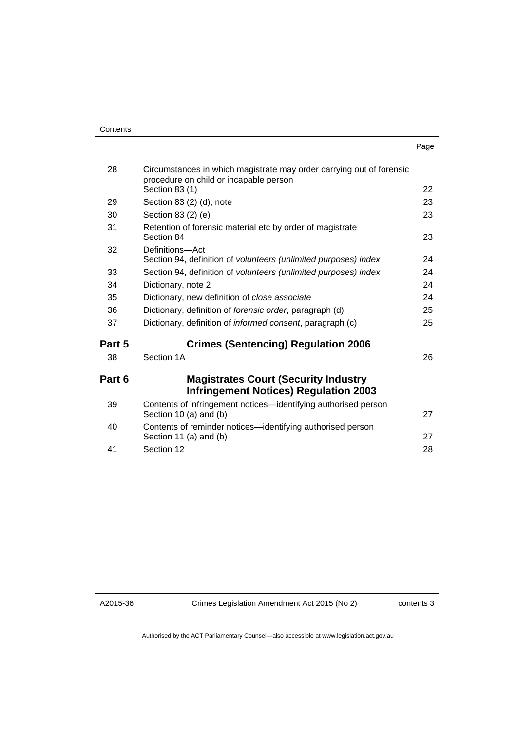| . .<br>× | I<br>۰.<br>× |
|----------|--------------|

| Circumstances in which magistrate may order carrying out of forensic<br>procedure on child or incapable person |                        |
|----------------------------------------------------------------------------------------------------------------|------------------------|
| Section 83 (1)                                                                                                 | 22                     |
| Section 83 (2) (d), note                                                                                       | 23                     |
| Section 83 (2) (e)                                                                                             | 23                     |
| Retention of forensic material etc by order of magistrate<br>Section 84                                        | 23                     |
| Definitions-Act<br>Section 94, definition of volunteers (unlimited purposes) index                             | 24                     |
| Section 94, definition of volunteers (unlimited purposes) index                                                | 24                     |
| Dictionary, note 2                                                                                             | 24                     |
| Dictionary, new definition of close associate                                                                  | 24                     |
| Dictionary, definition of forensic order, paragraph (d)                                                        | 25                     |
| Dictionary, definition of <i>informed consent</i> , paragraph (c)                                              | 25                     |
| <b>Crimes (Sentencing) Regulation 2006</b>                                                                     |                        |
| Section 1A                                                                                                     | 26                     |
| <b>Magistrates Court (Security Industry</b><br><b>Infringement Notices) Regulation 2003</b>                    |                        |
| Contents of infringement notices-identifying authorised person<br>Section 10 (a) and (b)                       | 27                     |
| Contents of reminder notices—identifying authorised person                                                     | 27                     |
| Section 12                                                                                                     | 28                     |
|                                                                                                                | Section 11 (a) and (b) |

A2015-36

Crimes Legislation Amendment Act 2015 (No 2)

contents 3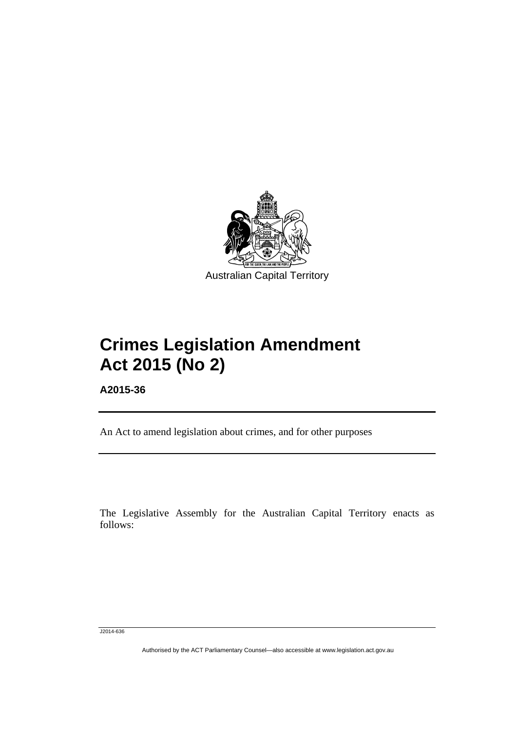

# **Crimes Legislation Amendment Act 2015 (No 2)**

**A2015-36** 

l

An Act to amend legislation about crimes, and for other purposes

The Legislative Assembly for the Australian Capital Territory enacts as follows:

J2014-636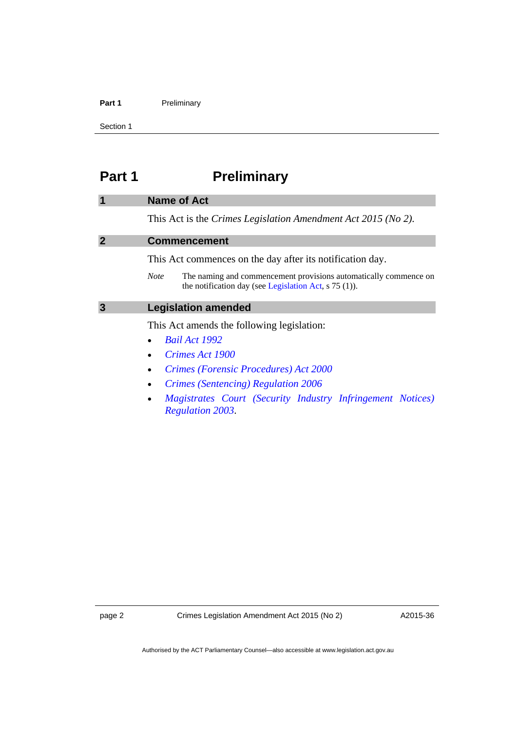#### Part 1 **Preliminary**

Section 1

## <span id="page-5-0"></span>**Part 1** Preliminary

#### <span id="page-5-1"></span>**1 Name of Act**

This Act is the *Crimes Legislation Amendment Act 2015 (No 2)*.

#### <span id="page-5-2"></span>**2 Commencement**

This Act commences on the day after its notification day.

*Note* The naming and commencement provisions automatically commence on the notification day (see [Legislation Act,](http://www.legislation.act.gov.au/a/2001-14) s 75 (1)).

## <span id="page-5-3"></span>**3 Legislation amended**

This Act amends the following legislation:

- *[Bail Act 1992](http://www.legislation.act.gov.au/a/1992-8)*
- *[Crimes Act 1900](http://www.legislation.act.gov.au/a/1900-40)*
- *[Crimes \(Forensic Procedures\) Act 2000](http://www.legislation.act.gov.au/a/2000-61)*
- *[Crimes \(Sentencing\) Regulation 2006](http://www.legislation.act.gov.au/sl/2006-22)*
- *[Magistrates Court \(Security Industry Infringement Notices\)](http://www.legislation.act.gov.au/sl/2003-29)  [Regulation 2003](http://www.legislation.act.gov.au/sl/2003-29)*.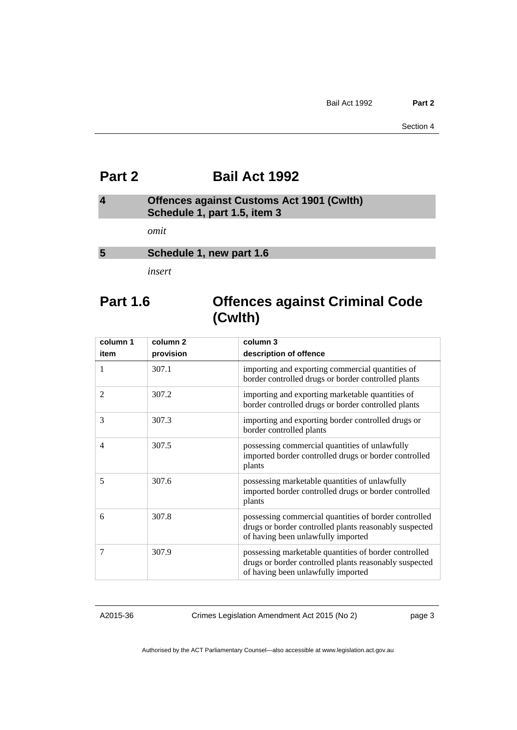## <span id="page-6-0"></span>**Part 2 Bail Act 1992**

## <span id="page-6-1"></span>**4 Offences against Customs Act 1901 (Cwlth) Schedule 1, part 1.5, item 3**

*omit* 

## <span id="page-6-2"></span>**5 Schedule 1, new part 1.6**

*insert* 

## **Part 1.6 Offences against Criminal Code (Cwlth)**

| column 1 | column <sub>2</sub> | column 3                                                                                                                                              |
|----------|---------------------|-------------------------------------------------------------------------------------------------------------------------------------------------------|
| item     | provision           | description of offence                                                                                                                                |
| 1        | 307.1               | importing and exporting commercial quantities of<br>border controlled drugs or border controlled plants                                               |
| 2        | 307.2               | importing and exporting marketable quantities of<br>border controlled drugs or border controlled plants                                               |
| 3        | 307.3               | importing and exporting border controlled drugs or<br>border controlled plants                                                                        |
| 4        | 307.5               | possessing commercial quantities of unlawfully<br>imported border controlled drugs or border controlled<br>plants                                     |
| 5        | 307.6               | possessing marketable quantities of unlawfully<br>imported border controlled drugs or border controlled<br>plants                                     |
| 6        | 307.8               | possessing commercial quantities of border controlled<br>drugs or border controlled plants reasonably suspected<br>of having been unlawfully imported |
| 7        | 307.9               | possessing marketable quantities of border controlled<br>drugs or border controlled plants reasonably suspected<br>of having been unlawfully imported |

A2015-36

Crimes Legislation Amendment Act 2015 (No 2)

page 3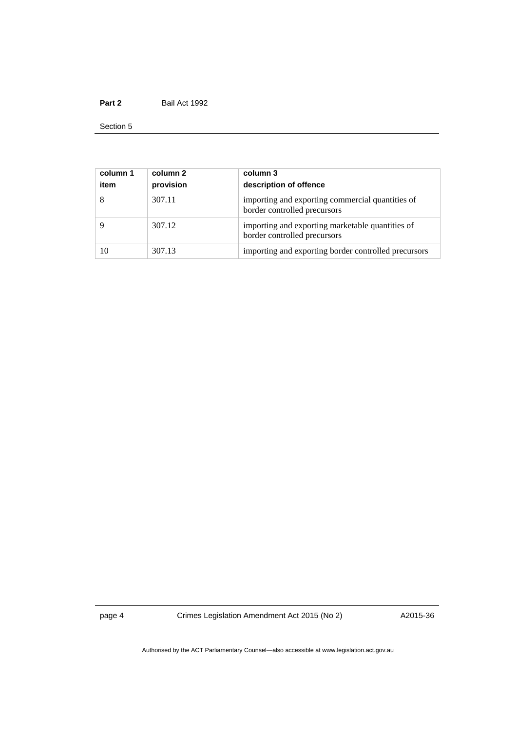#### Part 2 **Bail Act 1992**

Section 5

| column 1<br>item | column 2<br>provision | column 3<br>description of offence                                               |
|------------------|-----------------------|----------------------------------------------------------------------------------|
|                  | 307.11                | importing and exporting commercial quantities of<br>border controlled precursors |
|                  | 307.12                | importing and exporting marketable quantities of<br>border controlled precursors |
| 10               | 307.13                | importing and exporting border controlled precursors                             |

page 4 Crimes Legislation Amendment Act 2015 (No 2)

A2015-36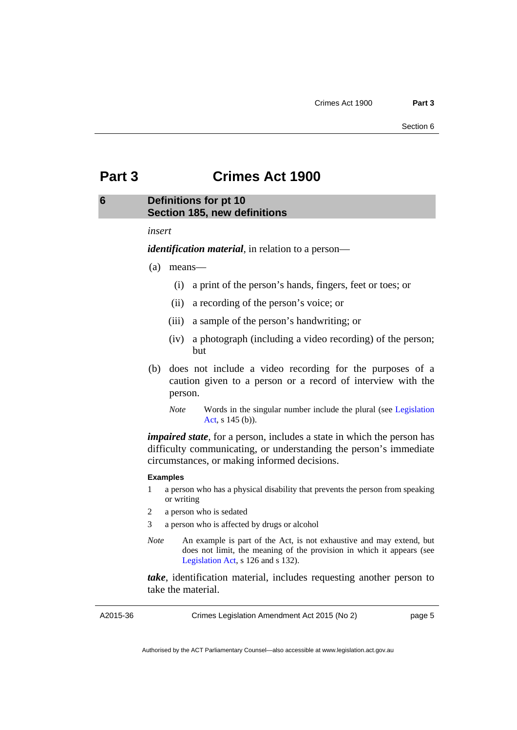## <span id="page-8-0"></span>**Part 3 Crimes Act 1900**

## <span id="page-8-1"></span>**6 Definitions for pt 10 Section 185, new definitions**

#### *insert*

*identification material*, in relation to a person—

- (a) means—
	- (i) a print of the person's hands, fingers, feet or toes; or
	- (ii) a recording of the person's voice; or
	- (iii) a sample of the person's handwriting; or
	- (iv) a photograph (including a video recording) of the person; but
- (b) does not include a video recording for the purposes of a caution given to a person or a record of interview with the person.
	- *Note* Words in the singular number include the plural (see Legislation [Act,](http://www.legislation.act.gov.au/a/2001-14) s 145 (b)).

*impaired state*, for a person, includes a state in which the person has difficulty communicating, or understanding the person's immediate circumstances, or making informed decisions.

#### **Examples**

- 1 a person who has a physical disability that prevents the person from speaking or writing
- 2 a person who is sedated
- 3 a person who is affected by drugs or alcohol
- *Note* An example is part of the Act, is not exhaustive and may extend, but does not limit, the meaning of the provision in which it appears (see [Legislation Act,](http://www.legislation.act.gov.au/a/2001-14) s 126 and s 132).

*take*, identification material, includes requesting another person to take the material.

A2015-36

Crimes Legislation Amendment Act 2015 (No 2)

page 5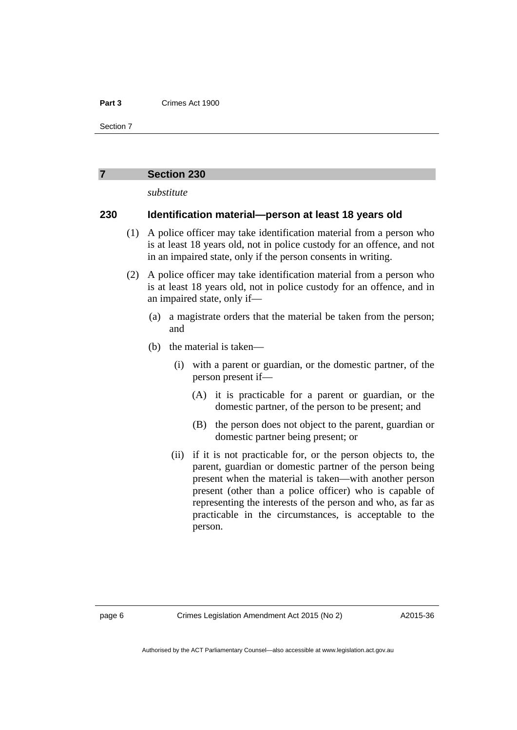#### **Part 3** Crimes Act 1900

Section 7

#### <span id="page-9-0"></span>**7 Section 230**

*substitute* 

## **230 Identification material—person at least 18 years old**

- (1) A police officer may take identification material from a person who is at least 18 years old, not in police custody for an offence, and not in an impaired state, only if the person consents in writing.
- (2) A police officer may take identification material from a person who is at least 18 years old, not in police custody for an offence, and in an impaired state, only if—
	- (a) a magistrate orders that the material be taken from the person; and
	- (b) the material is taken—
		- (i) with a parent or guardian, or the domestic partner, of the person present if—
			- (A) it is practicable for a parent or guardian, or the domestic partner, of the person to be present; and
			- (B) the person does not object to the parent, guardian or domestic partner being present; or
		- (ii) if it is not practicable for, or the person objects to, the parent, guardian or domestic partner of the person being present when the material is taken—with another person present (other than a police officer) who is capable of representing the interests of the person and who, as far as practicable in the circumstances, is acceptable to the person.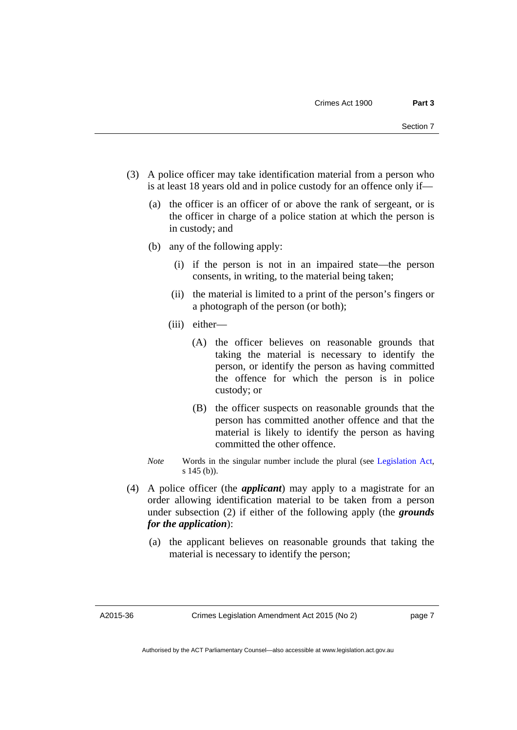- (3) A police officer may take identification material from a person who is at least 18 years old and in police custody for an offence only if—
	- (a) the officer is an officer of or above the rank of sergeant, or is the officer in charge of a police station at which the person is in custody; and
	- (b) any of the following apply:
		- (i) if the person is not in an impaired state—the person consents, in writing, to the material being taken;
		- (ii) the material is limited to a print of the person's fingers or a photograph of the person (or both);
		- (iii) either—
			- (A) the officer believes on reasonable grounds that taking the material is necessary to identify the person, or identify the person as having committed the offence for which the person is in police custody; or
			- (B) the officer suspects on reasonable grounds that the person has committed another offence and that the material is likely to identify the person as having committed the other offence.
	- *Note* Words in the singular number include the plural (see [Legislation Act,](http://www.legislation.act.gov.au/a/2001-14) s 145 (b)).
- (4) A police officer (the *applicant*) may apply to a magistrate for an order allowing identification material to be taken from a person under subsection (2) if either of the following apply (the *grounds for the application*):
	- (a) the applicant believes on reasonable grounds that taking the material is necessary to identify the person;

A2015-36

page 7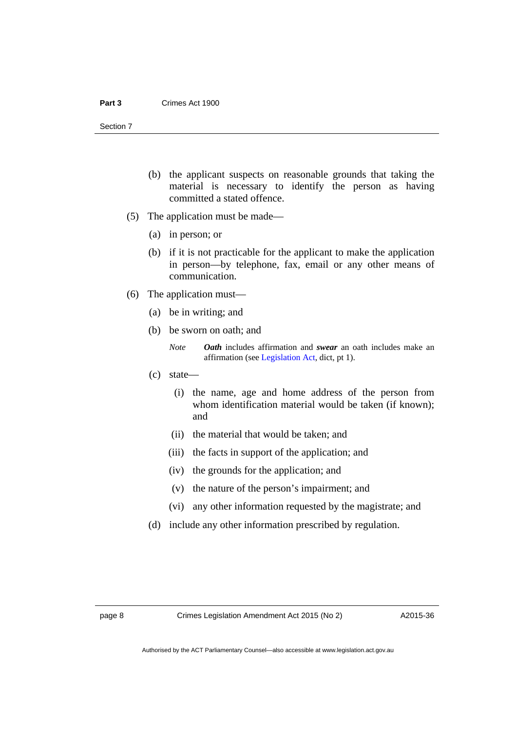- (b) the applicant suspects on reasonable grounds that taking the material is necessary to identify the person as having committed a stated offence.
- (5) The application must be made—
	- (a) in person; or
	- (b) if it is not practicable for the applicant to make the application in person—by telephone, fax, email or any other means of communication.
- (6) The application must—
	- (a) be in writing; and
	- (b) be sworn on oath; and
		- *Note Oath* includes affirmation and *swear* an oath includes make an affirmation (see [Legislation Act](http://www.legislation.act.gov.au/a/2001-14), dict, pt 1).
	- (c) state—
		- (i) the name, age and home address of the person from whom identification material would be taken (if known); and
		- (ii) the material that would be taken; and
		- (iii) the facts in support of the application; and
		- (iv) the grounds for the application; and
		- (v) the nature of the person's impairment; and
		- (vi) any other information requested by the magistrate; and
	- (d) include any other information prescribed by regulation.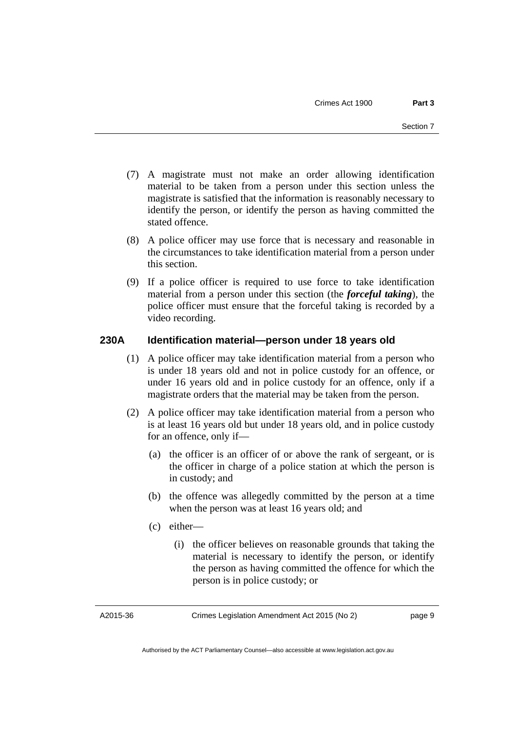- (7) A magistrate must not make an order allowing identification material to be taken from a person under this section unless the magistrate is satisfied that the information is reasonably necessary to identify the person, or identify the person as having committed the stated offence.
- (8) A police officer may use force that is necessary and reasonable in the circumstances to take identification material from a person under this section.
- (9) If a police officer is required to use force to take identification material from a person under this section (the *forceful taking*), the police officer must ensure that the forceful taking is recorded by a video recording.

## **230A Identification material—person under 18 years old**

- (1) A police officer may take identification material from a person who is under 18 years old and not in police custody for an offence, or under 16 years old and in police custody for an offence, only if a magistrate orders that the material may be taken from the person.
- (2) A police officer may take identification material from a person who is at least 16 years old but under 18 years old, and in police custody for an offence, only if—
	- (a) the officer is an officer of or above the rank of sergeant, or is the officer in charge of a police station at which the person is in custody; and
	- (b) the offence was allegedly committed by the person at a time when the person was at least 16 years old; and
	- (c) either—
		- (i) the officer believes on reasonable grounds that taking the material is necessary to identify the person, or identify the person as having committed the offence for which the person is in police custody; or

A2015-36

Crimes Legislation Amendment Act 2015 (No 2)

page 9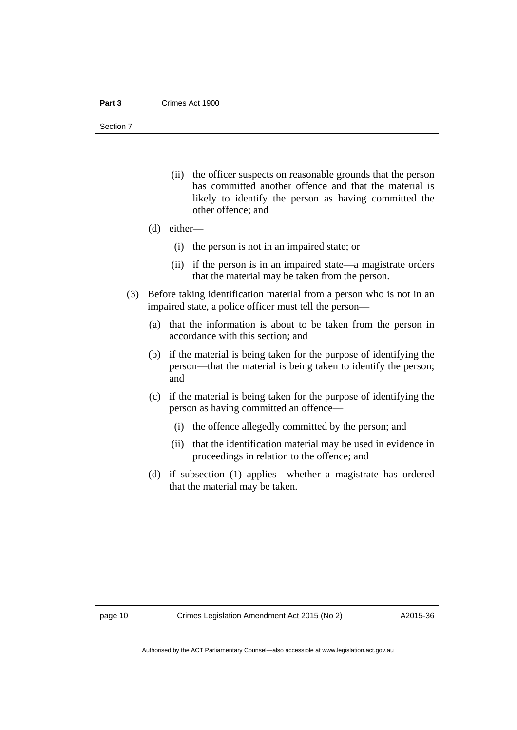- (ii) the officer suspects on reasonable grounds that the person has committed another offence and that the material is likely to identify the person as having committed the other offence; and
- (d) either—
	- (i) the person is not in an impaired state; or
	- (ii) if the person is in an impaired state—a magistrate orders that the material may be taken from the person.
- (3) Before taking identification material from a person who is not in an impaired state, a police officer must tell the person—
	- (a) that the information is about to be taken from the person in accordance with this section; and
	- (b) if the material is being taken for the purpose of identifying the person—that the material is being taken to identify the person; and
	- (c) if the material is being taken for the purpose of identifying the person as having committed an offence—
		- (i) the offence allegedly committed by the person; and
		- (ii) that the identification material may be used in evidence in proceedings in relation to the offence; and
	- (d) if subsection (1) applies—whether a magistrate has ordered that the material may be taken.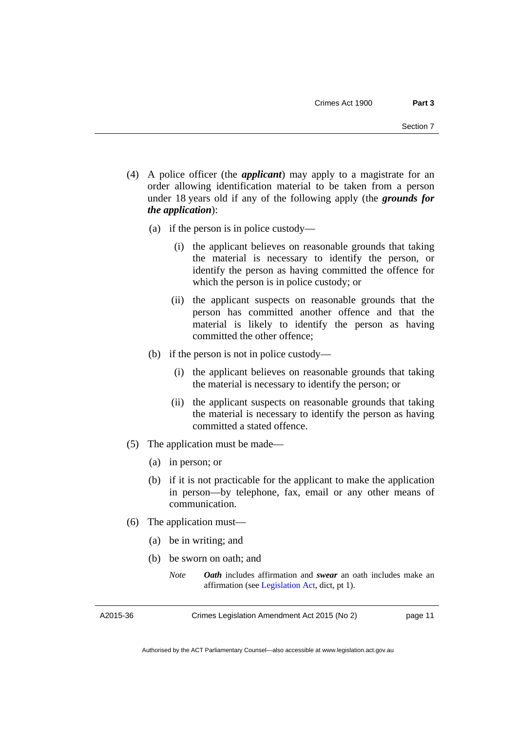- (4) A police officer (the *applicant*) may apply to a magistrate for an order allowing identification material to be taken from a person under 18 years old if any of the following apply (the *grounds for the application*):
	- (a) if the person is in police custody—
		- (i) the applicant believes on reasonable grounds that taking the material is necessary to identify the person, or identify the person as having committed the offence for which the person is in police custody; or
		- (ii) the applicant suspects on reasonable grounds that the person has committed another offence and that the material is likely to identify the person as having committed the other offence;
	- (b) if the person is not in police custody—
		- (i) the applicant believes on reasonable grounds that taking the material is necessary to identify the person; or
		- (ii) the applicant suspects on reasonable grounds that taking the material is necessary to identify the person as having committed a stated offence.
- (5) The application must be made—
	- (a) in person; or
	- (b) if it is not practicable for the applicant to make the application in person—by telephone, fax, email or any other means of communication.
- (6) The application must—
	- (a) be in writing; and
	- (b) be sworn on oath; and
		- *Note Oath* includes affirmation and *swear* an oath includes make an affirmation (see [Legislation Act](http://www.legislation.act.gov.au/a/2001-14), dict, pt 1).

A2015-36

Crimes Legislation Amendment Act 2015 (No 2)

page 11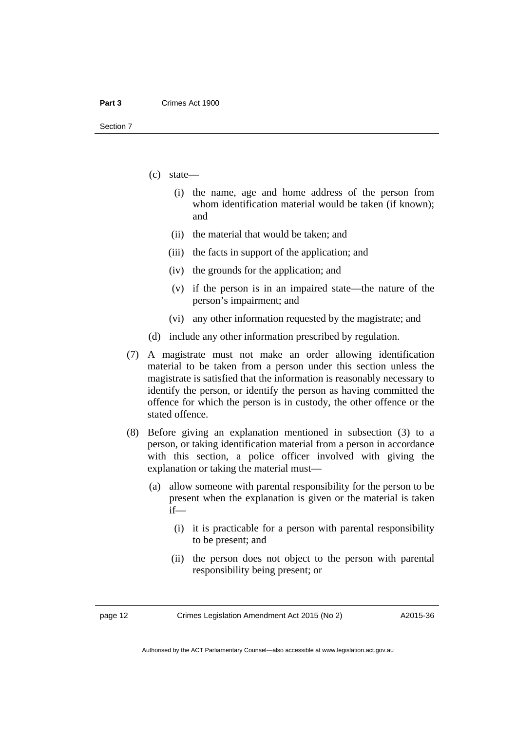- (c) state—
	- (i) the name, age and home address of the person from whom identification material would be taken (if known); and
	- (ii) the material that would be taken; and
	- (iii) the facts in support of the application; and
	- (iv) the grounds for the application; and
	- (v) if the person is in an impaired state—the nature of the person's impairment; and
	- (vi) any other information requested by the magistrate; and
- (d) include any other information prescribed by regulation.
- (7) A magistrate must not make an order allowing identification material to be taken from a person under this section unless the magistrate is satisfied that the information is reasonably necessary to identify the person, or identify the person as having committed the offence for which the person is in custody, the other offence or the stated offence.
- (8) Before giving an explanation mentioned in subsection (3) to a person, or taking identification material from a person in accordance with this section, a police officer involved with giving the explanation or taking the material must—
	- (a) allow someone with parental responsibility for the person to be present when the explanation is given or the material is taken if—
		- (i) it is practicable for a person with parental responsibility to be present; and
		- (ii) the person does not object to the person with parental responsibility being present; or

page 12 Crimes Legislation Amendment Act 2015 (No 2)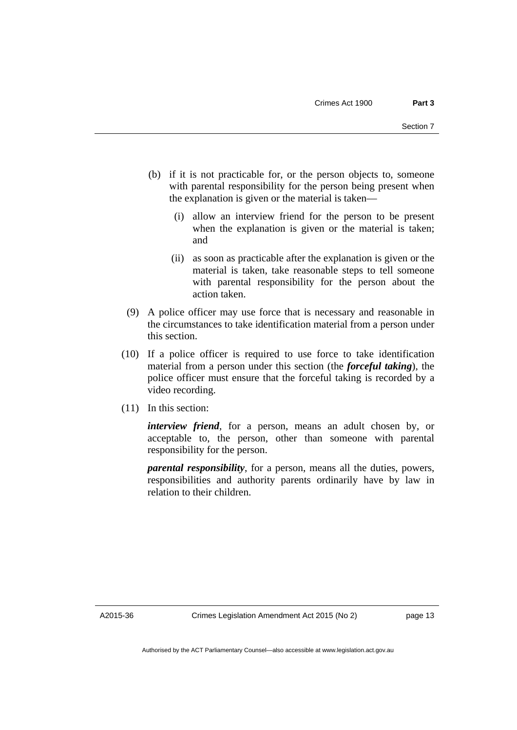- (b) if it is not practicable for, or the person objects to, someone with parental responsibility for the person being present when the explanation is given or the material is taken—
	- (i) allow an interview friend for the person to be present when the explanation is given or the material is taken; and
	- (ii) as soon as practicable after the explanation is given or the material is taken, take reasonable steps to tell someone with parental responsibility for the person about the action taken.
- (9) A police officer may use force that is necessary and reasonable in the circumstances to take identification material from a person under this section.
- (10) If a police officer is required to use force to take identification material from a person under this section (the *forceful taking*), the police officer must ensure that the forceful taking is recorded by a video recording.
- (11) In this section:

*interview friend*, for a person, means an adult chosen by, or acceptable to, the person, other than someone with parental responsibility for the person.

*parental responsibility*, for a person, means all the duties, powers, responsibilities and authority parents ordinarily have by law in relation to their children.

A2015-36

page 13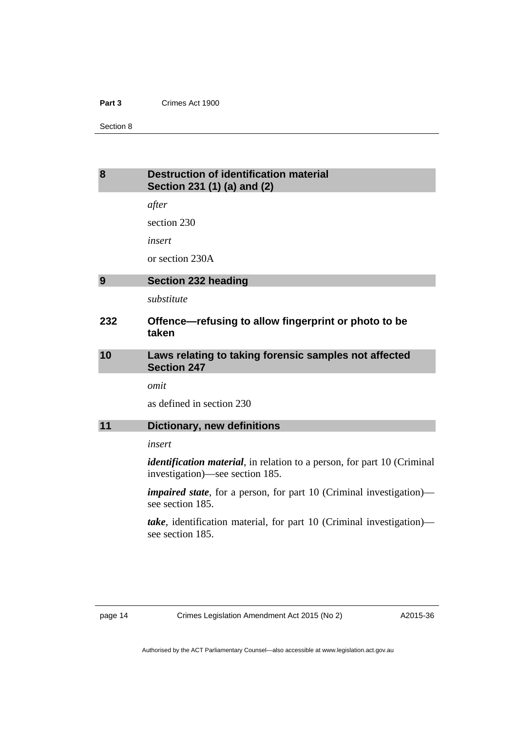#### **Part 3** Crimes Act 1900

Section 8

## <span id="page-17-0"></span>**8 Destruction of identification material Section 231 (1) (a) and (2)**

*after* 

section 230

*insert* 

or section 230A

### <span id="page-17-1"></span>**9 Section 232 heading**

*substitute* 

## **232 Offence—refusing to allow fingerprint or photo to be taken**

## <span id="page-17-2"></span>**10 Laws relating to taking forensic samples not affected Section 247**

*omit* 

as defined in section 230

## <span id="page-17-3"></span>**11 Dictionary, new definitions**

*insert* 

*identification material*, in relation to a person, for part 10 (Criminal investigation)—see section 185.

*impaired state*, for a person, for part 10 (Criminal investigation) see section 185.

*take*, identification material, for part 10 (Criminal investigation) see section 185.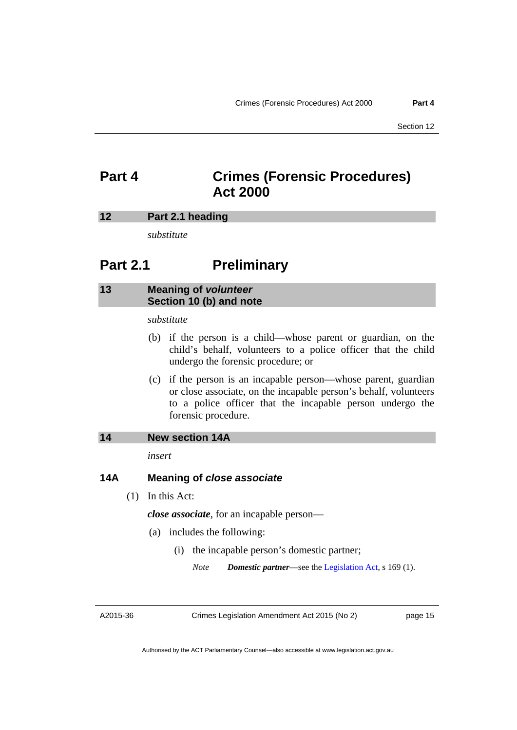## <span id="page-18-0"></span>**Part 4 Crimes (Forensic Procedures) Act 2000**

#### <span id="page-18-1"></span>**12 Part 2.1 heading**

*substitute* 

## **Part 2.1** Preliminary

## <span id="page-18-2"></span>**13 Meaning of** *volunteer* **Section 10 (b) and note**

### *substitute*

- (b) if the person is a child—whose parent or guardian, on the child's behalf, volunteers to a police officer that the child undergo the forensic procedure; or
- (c) if the person is an incapable person—whose parent, guardian or close associate, on the incapable person's behalf, volunteers to a police officer that the incapable person undergo the forensic procedure.

#### <span id="page-18-3"></span>**14 New section 14A**

*insert* 

### **14A Meaning of** *close associate*

(1) In this Act:

*close associate*, for an incapable person—

- (a) includes the following:
	- (i) the incapable person's domestic partner;

*Note Domestic partner*—see the [Legislation Act](http://www.legislation.act.gov.au/a/2001-14), s 169 (1).

A2015-36

Crimes Legislation Amendment Act 2015 (No 2)

page 15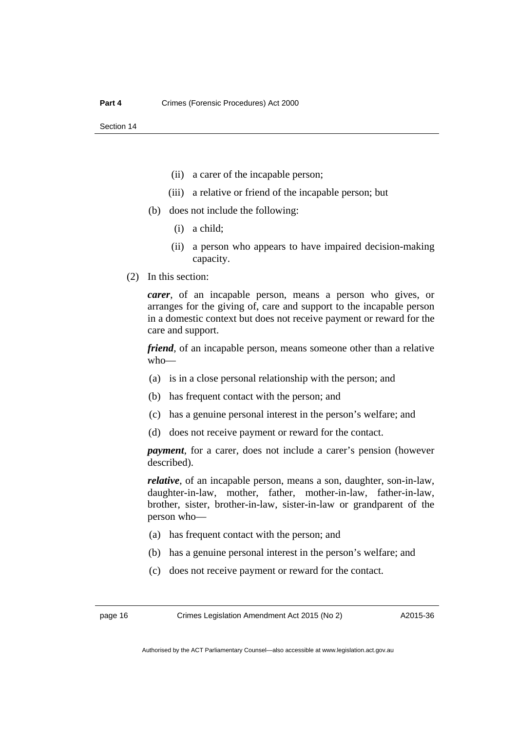- (ii) a carer of the incapable person;
- (iii) a relative or friend of the incapable person; but
- (b) does not include the following:
	- (i) a child;
	- (ii) a person who appears to have impaired decision-making capacity.
- (2) In this section:

*carer*, of an incapable person, means a person who gives, or arranges for the giving of, care and support to the incapable person in a domestic context but does not receive payment or reward for the care and support.

*friend*, of an incapable person, means someone other than a relative who—

- (a) is in a close personal relationship with the person; and
- (b) has frequent contact with the person; and
- (c) has a genuine personal interest in the person's welfare; and
- (d) does not receive payment or reward for the contact.

*payment*, for a carer, does not include a carer's pension (however described).

*relative*, of an incapable person, means a son, daughter, son-in-law, daughter-in-law, mother, father, mother-in-law, father-in-law, brother, sister, brother-in-law, sister-in-law or grandparent of the person who—

- (a) has frequent contact with the person; and
- (b) has a genuine personal interest in the person's welfare; and
- (c) does not receive payment or reward for the contact.

page 16 Crimes Legislation Amendment Act 2015 (No 2)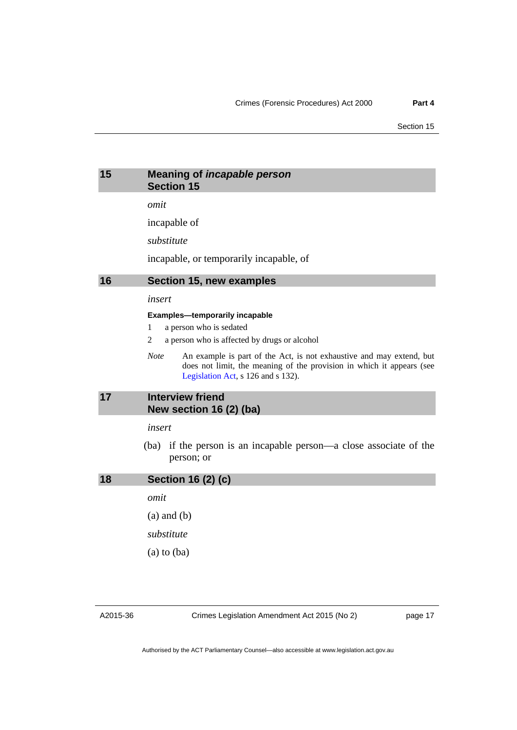## <span id="page-20-0"></span>**15 Meaning of** *incapable person* **Section 15**

*omit* 

incapable of

*substitute* 

incapable, or temporarily incapable, of

#### <span id="page-20-1"></span>**16 Section 15, new examples**

#### *insert*

#### **Examples—temporarily incapable**

- 1 a person who is sedated
- 2 a person who is affected by drugs or alcohol
- *Note* An example is part of the Act, is not exhaustive and may extend, but does not limit, the meaning of the provision in which it appears (see [Legislation Act,](http://www.legislation.act.gov.au/a/2001-14) s 126 and s 132).

### <span id="page-20-2"></span>**17 Interview friend New section 16 (2) (ba)**

#### *insert*

 (ba) if the person is an incapable person—a close associate of the person; or

<span id="page-20-3"></span>

| 18 | Section 16 (2) (c) |
|----|--------------------|
|    | omit               |
|    | $(a)$ and $(b)$    |
|    | substitute         |
|    | $(a)$ to $(ba)$    |
|    |                    |

Crimes Legislation Amendment Act 2015 (No 2)

page 17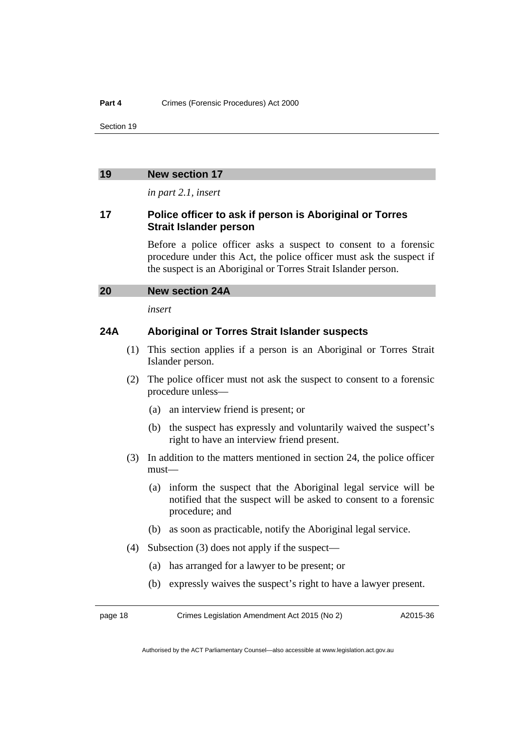#### <span id="page-21-0"></span>**19 New section 17**

*in part 2.1, insert* 

#### **17 Police officer to ask if person is Aboriginal or Torres Strait Islander person**

Before a police officer asks a suspect to consent to a forensic procedure under this Act, the police officer must ask the suspect if the suspect is an Aboriginal or Torres Strait Islander person.

#### <span id="page-21-1"></span>**20 New section 24A**

*insert* 

#### **24A Aboriginal or Torres Strait Islander suspects**

- (1) This section applies if a person is an Aboriginal or Torres Strait Islander person.
- (2) The police officer must not ask the suspect to consent to a forensic procedure unless—
	- (a) an interview friend is present; or
	- (b) the suspect has expressly and voluntarily waived the suspect's right to have an interview friend present.
- (3) In addition to the matters mentioned in section 24, the police officer must—
	- (a) inform the suspect that the Aboriginal legal service will be notified that the suspect will be asked to consent to a forensic procedure; and
	- (b) as soon as practicable, notify the Aboriginal legal service.
- (4) Subsection (3) does not apply if the suspect—
	- (a) has arranged for a lawyer to be present; or
	- (b) expressly waives the suspect's right to have a lawyer present.

page 18 Crimes Legislation Amendment Act 2015 (No 2)

A2015-36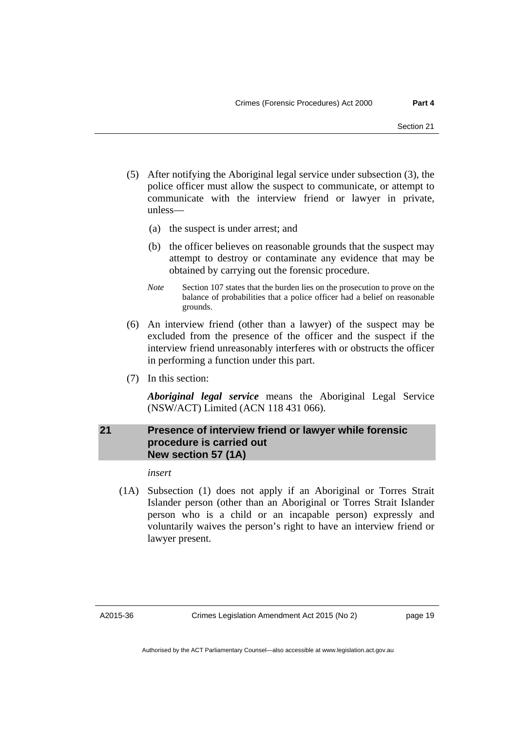- (5) After notifying the Aboriginal legal service under subsection (3), the police officer must allow the suspect to communicate, or attempt to communicate with the interview friend or lawyer in private, unless—
	- (a) the suspect is under arrest; and
	- (b) the officer believes on reasonable grounds that the suspect may attempt to destroy or contaminate any evidence that may be obtained by carrying out the forensic procedure.
	- *Note* Section 107 states that the burden lies on the prosecution to prove on the balance of probabilities that a police officer had a belief on reasonable grounds.
- (6) An interview friend (other than a lawyer) of the suspect may be excluded from the presence of the officer and the suspect if the interview friend unreasonably interferes with or obstructs the officer in performing a function under this part.
- (7) In this section:

*Aboriginal legal service* means the Aboriginal Legal Service (NSW/ACT) Limited (ACN 118 431 066).

## <span id="page-22-0"></span>**21 Presence of interview friend or lawyer while forensic procedure is carried out New section 57 (1A)**

*insert* 

 (1A) Subsection (1) does not apply if an Aboriginal or Torres Strait Islander person (other than an Aboriginal or Torres Strait Islander person who is a child or an incapable person) expressly and voluntarily waives the person's right to have an interview friend or lawyer present.

A2015-36

page 19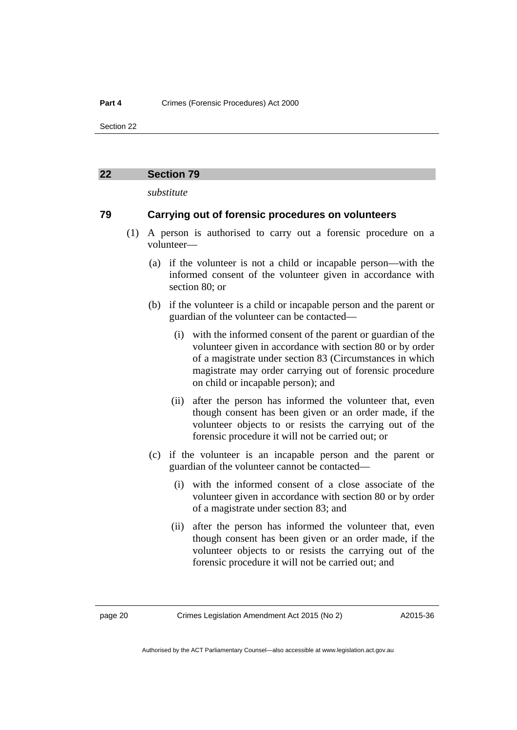#### <span id="page-23-0"></span>**22 Section 79**

*substitute* 

### **79 Carrying out of forensic procedures on volunteers**

- (1) A person is authorised to carry out a forensic procedure on a volunteer—
	- (a) if the volunteer is not a child or incapable person—with the informed consent of the volunteer given in accordance with section 80; or
	- (b) if the volunteer is a child or incapable person and the parent or guardian of the volunteer can be contacted—
		- (i) with the informed consent of the parent or guardian of the volunteer given in accordance with section 80 or by order of a magistrate under section 83 (Circumstances in which magistrate may order carrying out of forensic procedure on child or incapable person); and
		- (ii) after the person has informed the volunteer that, even though consent has been given or an order made, if the volunteer objects to or resists the carrying out of the forensic procedure it will not be carried out; or
	- (c) if the volunteer is an incapable person and the parent or guardian of the volunteer cannot be contacted—
		- (i) with the informed consent of a close associate of the volunteer given in accordance with section 80 or by order of a magistrate under section 83; and
		- (ii) after the person has informed the volunteer that, even though consent has been given or an order made, if the volunteer objects to or resists the carrying out of the forensic procedure it will not be carried out; and

Authorised by the ACT Parliamentary Counsel—also accessible at www.legislation.act.gov.au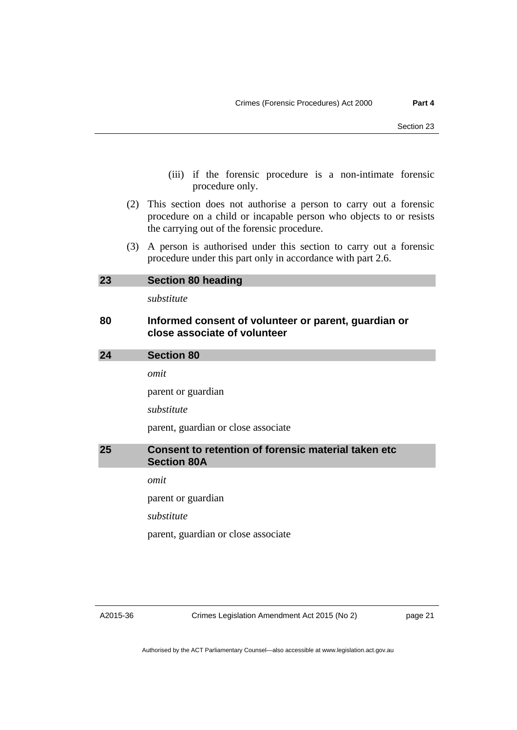- (iii) if the forensic procedure is a non-intimate forensic procedure only.
- (2) This section does not authorise a person to carry out a forensic procedure on a child or incapable person who objects to or resists the carrying out of the forensic procedure.
- (3) A person is authorised under this section to carry out a forensic procedure under this part only in accordance with part 2.6.

<span id="page-24-1"></span><span id="page-24-0"></span>

| 23 | <b>Section 80 heading</b>                                                            |
|----|--------------------------------------------------------------------------------------|
|    | substitute                                                                           |
| 80 | Informed consent of volunteer or parent, guardian or<br>close associate of volunteer |
| 24 | <b>Section 80</b>                                                                    |
|    | omit                                                                                 |
|    | parent or guardian                                                                   |
|    | substitute                                                                           |
|    | parent, guardian or close associate                                                  |
| 25 | Consent to retention of forensic material taken etc<br><b>Section 80A</b>            |
|    |                                                                                      |

<span id="page-24-2"></span>*omit* 

parent or guardian

*substitute* 

parent, guardian or close associate

Crimes Legislation Amendment Act 2015 (No 2)

page 21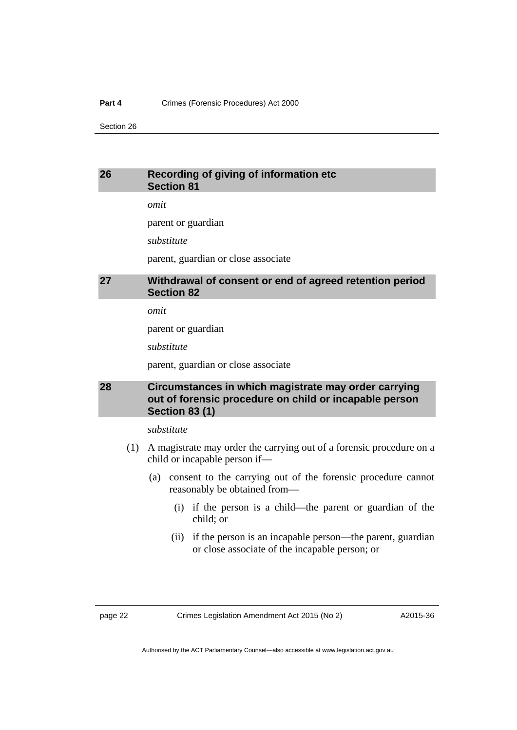#### **Part 4 Crimes (Forensic Procedures)** Act 2000

Section 26

#### <span id="page-25-0"></span>**26 Recording of giving of information etc Section 81**

*omit* 

parent or guardian

*substitute* 

parent, guardian or close associate

## <span id="page-25-1"></span>**27 Withdrawal of consent or end of agreed retention period Section 82**

*omit* 

parent or guardian

*substitute* 

parent, guardian or close associate

## <span id="page-25-2"></span>**28 Circumstances in which magistrate may order carrying out of forensic procedure on child or incapable person Section 83 (1)**

#### *substitute*

- (1) A magistrate may order the carrying out of a forensic procedure on a child or incapable person if—
	- (a) consent to the carrying out of the forensic procedure cannot reasonably be obtained from—
		- (i) if the person is a child—the parent or guardian of the child; or
		- (ii) if the person is an incapable person—the parent, guardian or close associate of the incapable person; or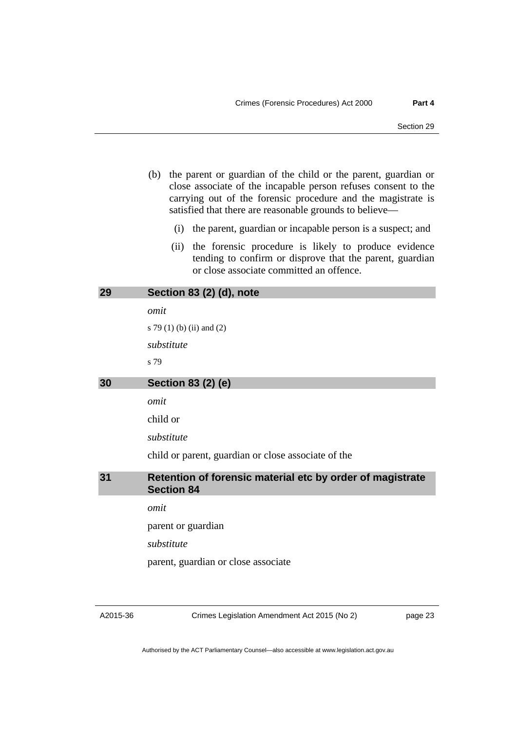- (b) the parent or guardian of the child or the parent, guardian or close associate of the incapable person refuses consent to the carrying out of the forensic procedure and the magistrate is satisfied that there are reasonable grounds to believe—
	- (i) the parent, guardian or incapable person is a suspect; and
	- (ii) the forensic procedure is likely to produce evidence tending to confirm or disprove that the parent, guardian or close associate committed an offence.

#### <span id="page-26-0"></span>**29 Section 83 (2) (d), note**

*omit* 

s 79 (1) (b) (ii) and (2)

*substitute* 

s 79

#### <span id="page-26-1"></span>**30 Section 83 (2) (e)**

*omit* 

child or

*substitute* 

child or parent, guardian or close associate of the

#### <span id="page-26-2"></span>**31 Retention of forensic material etc by order of magistrate Section 84**

*omit* 

parent or guardian

*substitute* 

parent, guardian or close associate

Crimes Legislation Amendment Act 2015 (No 2)

page 23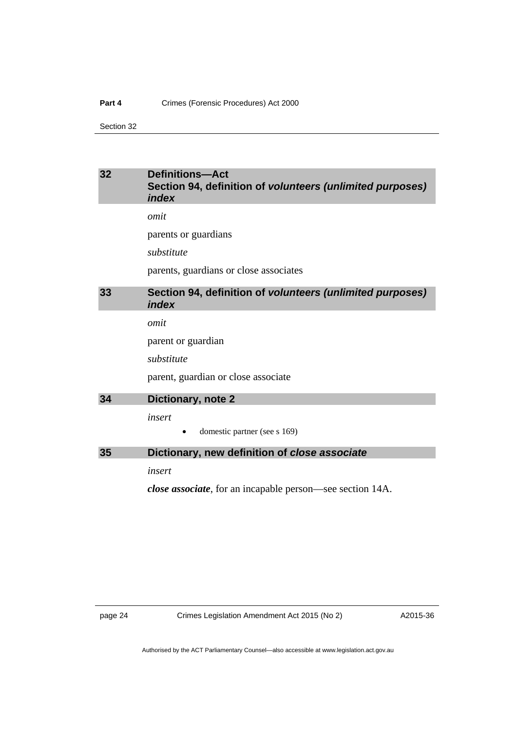#### **Part 4** Crimes (Forensic Procedures) Act 2000

Section 32

## <span id="page-27-0"></span>**32 Definitions—Act Section 94, definition of** *volunteers (unlimited purposes) index*

*omit* 

parents or guardians

*substitute* 

parents, guardians or close associates

### <span id="page-27-1"></span>**33 Section 94, definition of** *volunteers (unlimited purposes) index*

*omit* 

parent or guardian

*substitute* 

parent, guardian or close associate

<span id="page-27-2"></span>

| 34 |  | Dictionary, note 2 |
|----|--|--------------------|
|----|--|--------------------|

*insert* 

• domestic partner (see s 169)

#### <span id="page-27-3"></span>**35 Dictionary, new definition of** *close associate*

*insert* 

*close associate*, for an incapable person—see section 14A.

page 24 Crimes Legislation Amendment Act 2015 (No 2)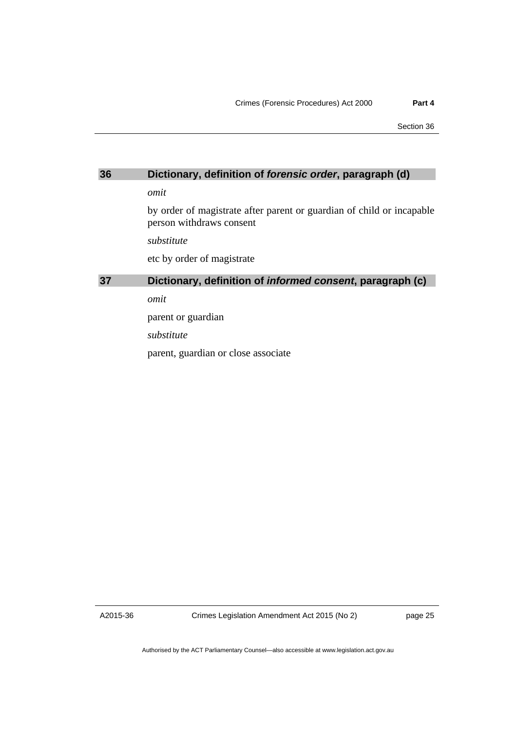### <span id="page-28-0"></span>**36 Dictionary, definition of** *forensic order***, paragraph (d)**

*omit* 

by order of magistrate after parent or guardian of child or incapable person withdraws consent

*substitute* 

etc by order of magistrate

# <span id="page-28-1"></span>**37 Dictionary, definition of** *informed consent***, paragraph (c)**

*omit* 

parent or guardian

*substitute* 

parent, guardian or close associate

A2015-36

Crimes Legislation Amendment Act 2015 (No 2)

page 25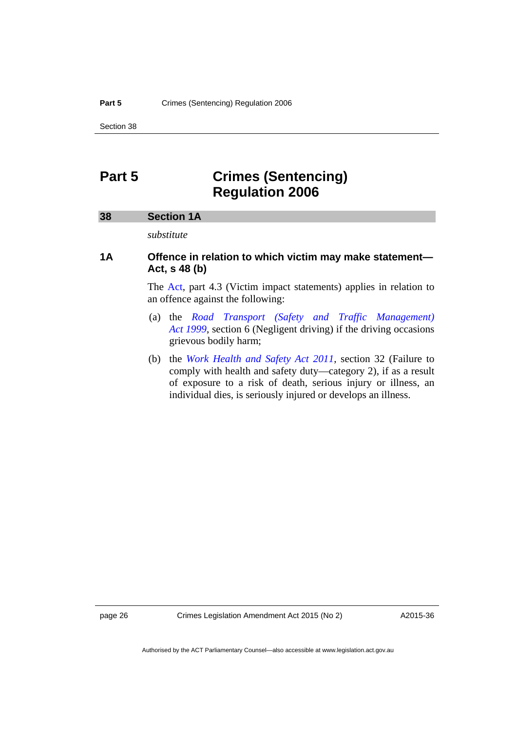## <span id="page-29-0"></span>**Part 5 Crimes (Sentencing) Regulation 2006**

#### <span id="page-29-1"></span>**38 Section 1A**

*substitute* 

### **1A Offence in relation to which victim may make statement— Act, s 48 (b)**

The [Act](http://www.legislation.act.gov.au/a/2005-58/), part 4.3 (Victim impact statements) applies in relation to an offence against the following:

- (a) the *[Road Transport \(Safety and Traffic Management\)](http://www.legislation.act.gov.au/a/1999-80)  [Act 1999](http://www.legislation.act.gov.au/a/1999-80)*, section 6 (Negligent driving) if the driving occasions grievous bodily harm;
- (b) the *[Work Health and Safety Act 2011](http://www.legislation.act.gov.au/a/2011-35)*, section 32 (Failure to comply with health and safety duty—category 2), if as a result of exposure to a risk of death, serious injury or illness, an individual dies, is seriously injured or develops an illness.

page 26 Crimes Legislation Amendment Act 2015 (No 2)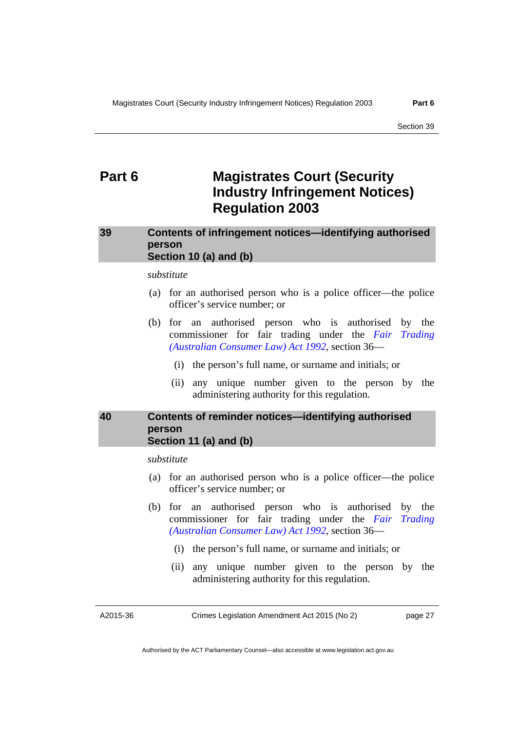## <span id="page-30-0"></span>**Part 6 Magistrates Court (Security Industry Infringement Notices) Regulation 2003**

### <span id="page-30-1"></span>**39 Contents of infringement notices—identifying authorised person Section 10 (a) and (b)**

*substitute* 

- (a) for an authorised person who is a police officer—the police officer's service number; or
- (b) for an authorised person who is authorised by the commissioner for fair trading under the *[Fair Trading](http://www.legislation.act.gov.au/a/1992-72)  [\(Australian Consumer Law\) Act 1992](http://www.legislation.act.gov.au/a/1992-72)*, section 36—
	- (i) the person's full name, or surname and initials; or
	- (ii) any unique number given to the person by the administering authority for this regulation.

### <span id="page-30-2"></span>**40 Contents of reminder notices—identifying authorised person Section 11 (a) and (b)**

*substitute* 

- (a) for an authorised person who is a police officer—the police officer's service number; or
- (b) for an authorised person who is authorised by the commissioner for fair trading under the *[Fair Trading](http://www.legislation.act.gov.au/a/1992-72)  [\(Australian Consumer Law\) Act 1992](http://www.legislation.act.gov.au/a/1992-72)*, section 36—
	- (i) the person's full name, or surname and initials; or
	- (ii) any unique number given to the person by the administering authority for this regulation.

A2015-36

Crimes Legislation Amendment Act 2015 (No 2)

page 27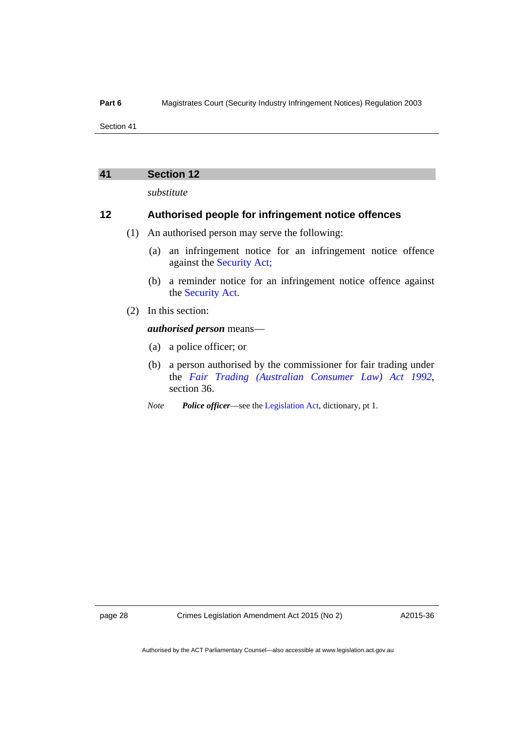### <span id="page-31-0"></span>**41 Section 12**

*substitute* 

## **12 Authorised people for infringement notice offences**

- (1) An authorised person may serve the following:
	- (a) an infringement notice for an infringement notice offence against the Security Act;
	- [\(b\) a remind](#page-6-2)er notice for an infringement notice offence against the Security Act.
- [\(2\) In this section:](#page-8-1)

#### *[authorised person](#page-8-1)* means—

- (a) a police officer; or
- (b) a person authorised by the commissioner for fair trading under the *[Fair Trading \(Australian Consumer Law\) Act 1992](http://www.legislation.act.gov.au/a/1992-72)*, section 36.
- *Note Police officer*—see the [Legislation Act](http://www.legislation.act.gov.au/a/2001-14), dictionary, pt 1.